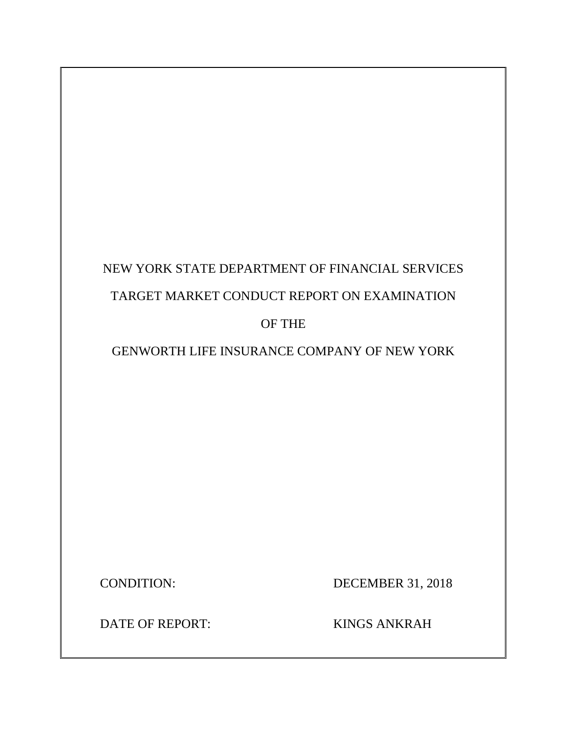# NEW YORK STATE DEPARTMENT OF FINANCIAL SERVICES TARGET MARKET CONDUCT REPORT ON EXAMINATION OF THE

GENWORTH LIFE INSURANCE COMPANY OF NEW YORK

CONDITION: DECEMBER 31, 2018

DATE OF REPORT: KINGS ANKRAH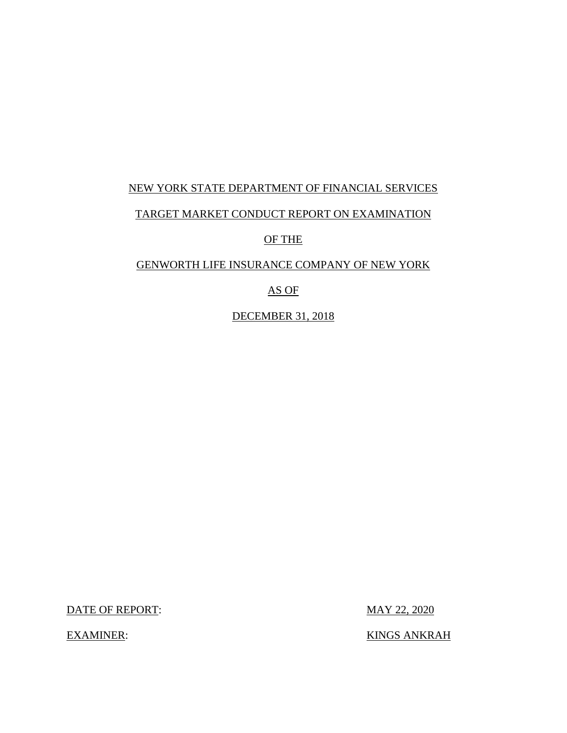## NEW YORK STATE DEPARTMENT OF FINANCIAL SERVICES TARGET MARKET CONDUCT REPORT ON EXAMINATION OF THE

#### GENWORTH LIFE INSURANCE COMPANY OF NEW YORK

#### AS OF

DECEMBER 31, 2018

DATE OF REPORT: MAY 22, 2020

EXAMINER: KINGS ANKRAH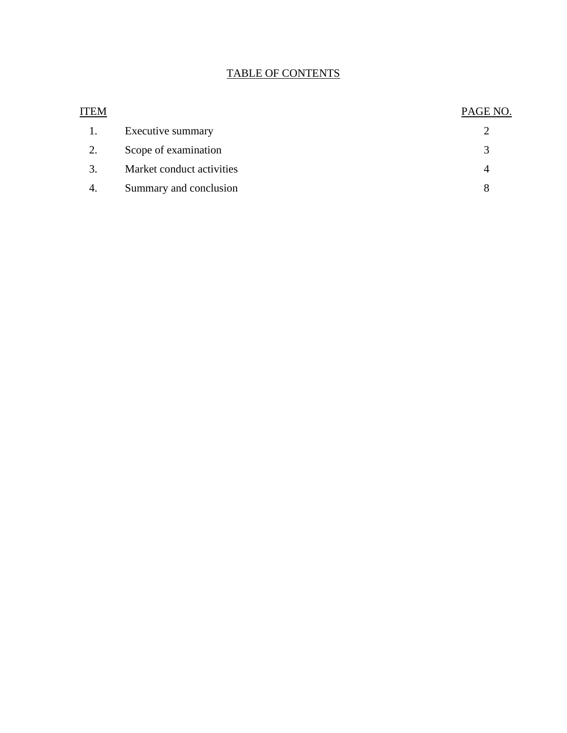#### TABLE OF CONTENTS

| ITEM |                           | PAGE NO.      |
|------|---------------------------|---------------|
|      | Executive summary         |               |
| 2.   | Scope of examination      | $\mathcal{R}$ |
| 3.   | Market conduct activities | 4             |
| 4.   | Summary and conclusion    | 8             |
|      |                           |               |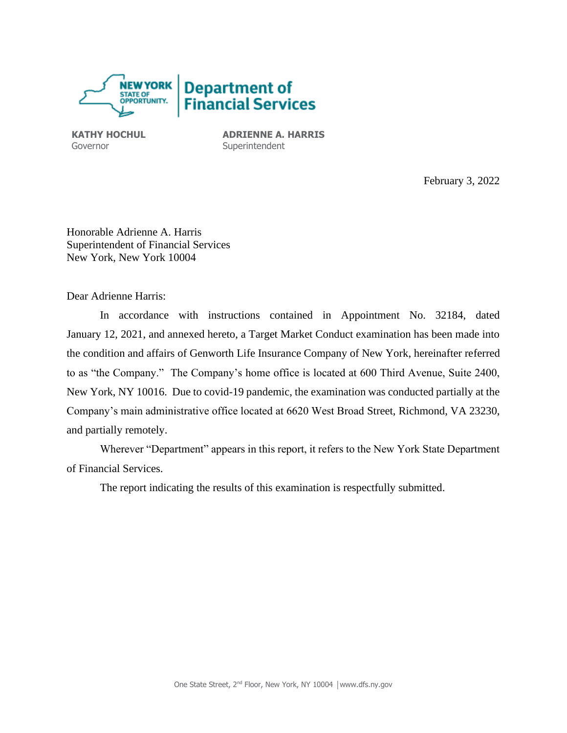

**KATHY HOCHUL** Governor

**ADRIENNE A. HARRIS Superintendent** 

February 3, 2022

Honorable Adrienne A. Harris Superintendent of Financial Services New York, New York 10004

Dear Adrienne Harris:

In accordance with instructions contained in Appointment No. 32184, dated January 12, 2021, and annexed hereto, a Target Market Conduct examination has been made into the condition and affairs of Genworth Life Insurance Company of New York, hereinafter referred to as "the Company." The Company's home office is located at 600 Third Avenue, Suite 2400, New York, NY 10016. Due to covid-19 pandemic, the examination was conducted partially at the Company's main administrative office located at 6620 West Broad Street, Richmond, VA 23230, and partially remotely.

Wherever "Department" appears in this report, it refers to the New York State Department of Financial Services.

The report indicating the results of this examination is respectfully submitted.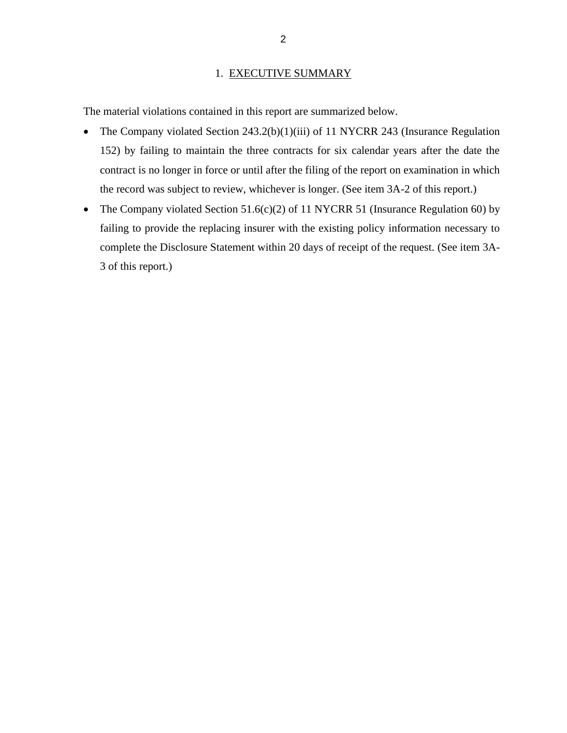#### 1. EXECUTIVE SUMMARY

The material violations contained in this report are summarized below.

- The Company violated Section 243.2(b)(1)(iii) of 11 NYCRR 243 (Insurance Regulation 152) by failing to maintain the three contracts for six calendar years after the date the contract is no longer in force or until after the filing of the report on examination in which the record was subject to review, whichever is longer. (See item 3A-2 of this report.)
- The Company violated Section 51.6(c)(2) of 11 NYCRR 51 (Insurance Regulation 60) by failing to provide the replacing insurer with the existing policy information necessary to complete the Disclosure Statement within 20 days of receipt of the request. (See item 3A-3 of this report.)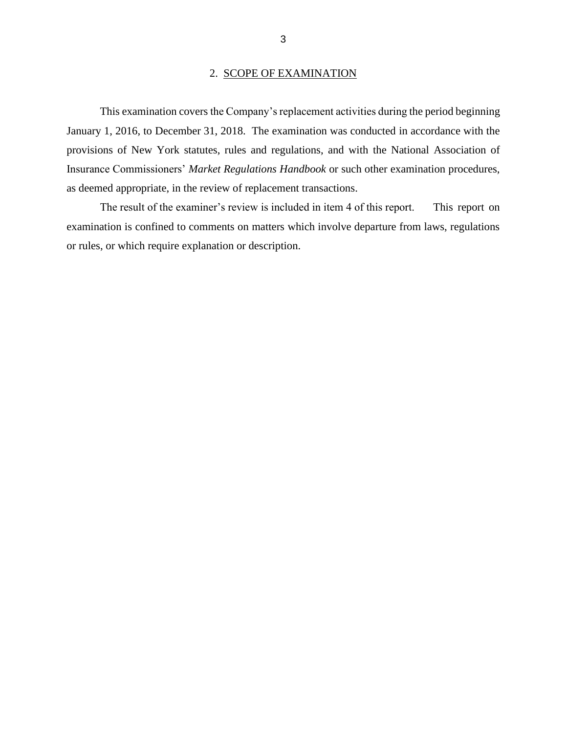#### 2. SCOPE OF EXAMINATION

This examination covers the Company's replacement activities during the period beginning January 1, 2016, to December 31, 2018. The examination was conducted in accordance with the provisions of New York statutes, rules and regulations, and with the National Association of Insurance Commissioners' *Market Regulations Handbook* or such other examination procedures, as deemed appropriate, in the review of replacement transactions.

The result of the examiner's review is included in item 4 of this report. This report on examination is confined to comments on matters which involve departure from laws, regulations or rules, or which require explanation or description.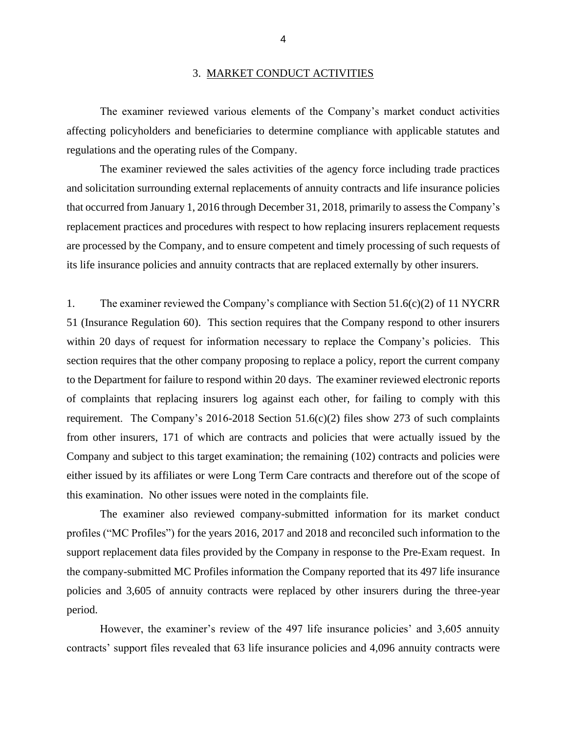The examiner reviewed various elements of the Company's market conduct activities affecting policyholders and beneficiaries to determine compliance with applicable statutes and regulations and the operating rules of the Company.

The examiner reviewed the sales activities of the agency force including trade practices and solicitation surrounding external replacements of annuity contracts and life insurance policies that occurred from January 1, 2016 through December 31, 2018, primarily to assess the Company's replacement practices and procedures with respect to how replacing insurers replacement requests are processed by the Company, and to ensure competent and timely processing of such requests of its life insurance policies and annuity contracts that are replaced externally by other insurers.

1. The examiner reviewed the Company's compliance with Section 51.6(c)(2) of 11 NYCRR 51 (Insurance Regulation 60). This section requires that the Company respond to other insurers within 20 days of request for information necessary to replace the Company's policies. This section requires that the other company proposing to replace a policy, report the current company to the Department for failure to respond within 20 days. The examiner reviewed electronic reports of complaints that replacing insurers log against each other, for failing to comply with this requirement. The Company's 2016-2018 Section  $51.6(c)(2)$  files show 273 of such complaints from other insurers, 171 of which are contracts and policies that were actually issued by the Company and subject to this target examination; the remaining (102) contracts and policies were either issued by its affiliates or were Long Term Care contracts and therefore out of the scope of this examination. No other issues were noted in the complaints file.

The examiner also reviewed company-submitted information for its market conduct profiles ("MC Profiles") for the years 2016, 2017 and 2018 and reconciled such information to the support replacement data files provided by the Company in response to the Pre-Exam request. In the company-submitted MC Profiles information the Company reported that its 497 life insurance policies and 3,605 of annuity contracts were replaced by other insurers during the three-year period.

However, the examiner's review of the 497 life insurance policies' and 3,605 annuity contracts' support files revealed that 63 life insurance policies and 4,096 annuity contracts were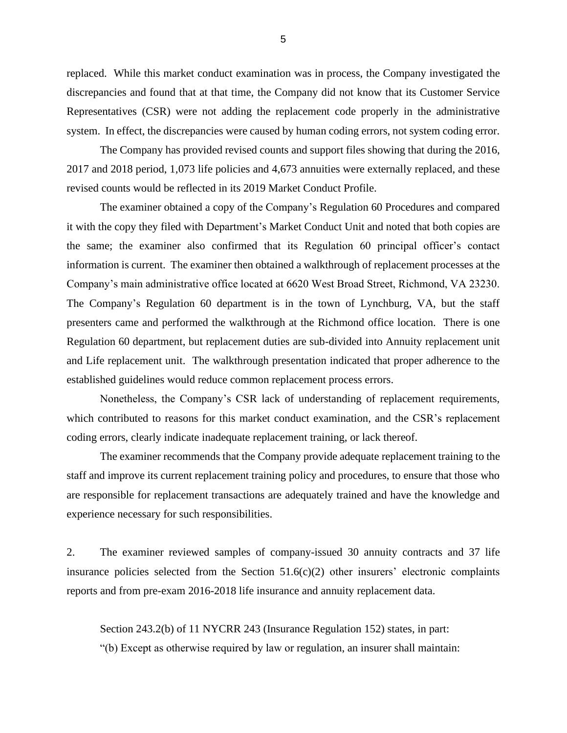replaced. While this market conduct examination was in process, the Company investigated the discrepancies and found that at that time, the Company did not know that its Customer Service Representatives (CSR) were not adding the replacement code properly in the administrative system. In effect, the discrepancies were caused by human coding errors, not system coding error.

The Company has provided revised counts and support files showing that during the 2016, 2017 and 2018 period, 1,073 life policies and 4,673 annuities were externally replaced, and these revised counts would be reflected in its 2019 Market Conduct Profile.

The examiner obtained a copy of the Company's Regulation 60 Procedures and compared it with the copy they filed with Department's Market Conduct Unit and noted that both copies are the same; the examiner also confirmed that its Regulation 60 principal officer's contact information is current. The examiner then obtained a walkthrough of replacement processes at the Company's main administrative office located at 6620 West Broad Street, Richmond, VA 23230. The Company's Regulation 60 department is in the town of Lynchburg, VA, but the staff presenters came and performed the walkthrough at the Richmond office location. There is one Regulation 60 department, but replacement duties are sub-divided into Annuity replacement unit and Life replacement unit. The walkthrough presentation indicated that proper adherence to the established guidelines would reduce common replacement process errors.

Nonetheless, the Company's CSR lack of understanding of replacement requirements, which contributed to reasons for this market conduct examination, and the CSR's replacement coding errors, clearly indicate inadequate replacement training, or lack thereof.

The examiner recommends that the Company provide adequate replacement training to the staff and improve its current replacement training policy and procedures, to ensure that those who are responsible for replacement transactions are adequately trained and have the knowledge and experience necessary for such responsibilities.

2. The examiner reviewed samples of company-issued 30 annuity contracts and 37 life insurance policies selected from the Section 51.6(c)(2) other insurers' electronic complaints reports and from pre-exam 2016-2018 life insurance and annuity replacement data.

Section 243.2(b) of 11 NYCRR 243 (Insurance Regulation 152) states, in part: "(b) Except as otherwise required by law or regulation, an insurer shall maintain: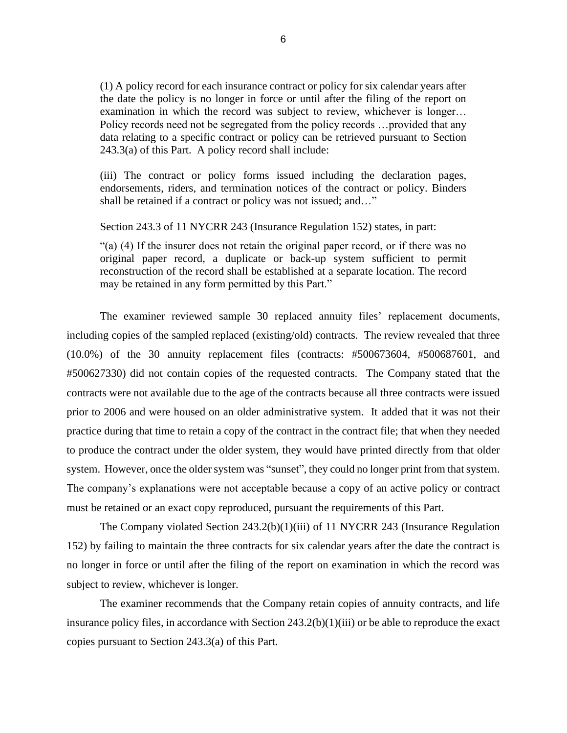(1) A policy record for each insurance contract or policy for six calendar years after the date the policy is no longer in force or until after the filing of the report on examination in which the record was subject to review, whichever is longer… Policy records need not be segregated from the policy records …provided that any data relating to a specific contract or policy can be retrieved pursuant to Section 243.3(a) of this Part. A policy record shall include:

(iii) The contract or policy forms issued including the declaration pages, endorsements, riders, and termination notices of the contract or policy. Binders shall be retained if a contract or policy was not issued; and…"

Section 243.3 of 11 NYCRR 243 (Insurance Regulation 152) states, in part:

"(a) (4) If the insurer does not retain the original paper record, or if there was no original paper record, a duplicate or back-up system sufficient to permit reconstruction of the record shall be established at a separate location. The record may be retained in any form permitted by this Part."

The examiner reviewed sample 30 replaced annuity files' replacement documents, including copies of the sampled replaced (existing/old) contracts. The review revealed that three (10.0%) of the 30 annuity replacement files (contracts: #500673604, #500687601, and #500627330) did not contain copies of the requested contracts. The Company stated that the contracts were not available due to the age of the contracts because all three contracts were issued prior to 2006 and were housed on an older administrative system. It added that it was not their practice during that time to retain a copy of the contract in the contract file; that when they needed to produce the contract under the older system, they would have printed directly from that older system. However, once the older system was "sunset", they could no longer print from that system. The company's explanations were not acceptable because a copy of an active policy or contract must be retained or an exact copy reproduced, pursuant the requirements of this Part.

The Company violated Section 243.2(b)(1)(iii) of 11 NYCRR 243 (Insurance Regulation 152) by failing to maintain the three contracts for six calendar years after the date the contract is no longer in force or until after the filing of the report on examination in which the record was subject to review, whichever is longer.

The examiner recommends that the Company retain copies of annuity contracts, and life insurance policy files, in accordance with Section 243.2(b)(1)(iii) or be able to reproduce the exact copies pursuant to Section 243.3(a) of this Part.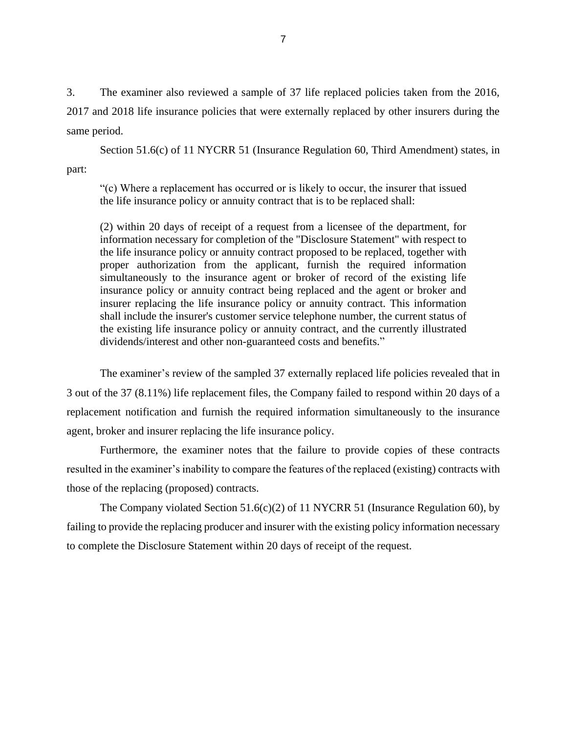3. The examiner also reviewed a sample of 37 life replaced policies taken from the 2016, 2017 and 2018 life insurance policies that were externally replaced by other insurers during the same period.

Section 51.6(c) of 11 NYCRR 51 (Insurance Regulation 60, Third Amendment) states, in part:

"(c) Where a replacement has occurred or is likely to occur, the insurer that issued the life insurance policy or annuity contract that is to be replaced shall:

(2) within 20 days of receipt of a request from a licensee of the department, for information necessary for completion of the "Disclosure Statement" with respect to the life insurance policy or annuity contract proposed to be replaced, together with proper authorization from the applicant, furnish the required information simultaneously to the insurance agent or broker of record of the existing life insurance policy or annuity contract being replaced and the agent or broker and insurer replacing the life insurance policy or annuity contract. This information shall include the insurer's customer service telephone number, the current status of the existing life insurance policy or annuity contract, and the currently illustrated dividends/interest and other non-guaranteed costs and benefits."

The examiner's review of the sampled 37 externally replaced life policies revealed that in 3 out of the 37 (8.11%) life replacement files, the Company failed to respond within 20 days of a replacement notification and furnish the required information simultaneously to the insurance agent, broker and insurer replacing the life insurance policy.

Furthermore, the examiner notes that the failure to provide copies of these contracts resulted in the examiner's inability to compare the features of the replaced (existing) contracts with those of the replacing (proposed) contracts.

The Company violated Section 51.6(c)(2) of 11 NYCRR 51 (Insurance Regulation 60), by failing to provide the replacing producer and insurer with the existing policy information necessary to complete the Disclosure Statement within 20 days of receipt of the request.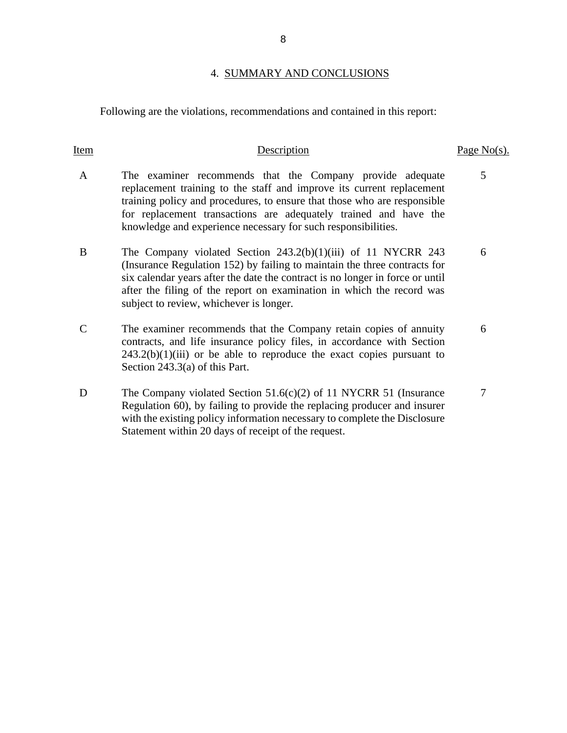#### 4. SUMMARY AND CONCLUSIONS

Following are the violations, recommendations and contained in this report:

#### Item Description Page No(s). A The examiner recommends that the Company provide adequate replacement training to the staff and improve its current replacement training policy and procedures, to ensure that those who are responsible for replacement transactions are adequately trained and have the knowledge and experience necessary for such responsibilities. 5 B The Company violated Section 243.2(b)(1)(iii) of 11 NYCRR 243 (Insurance Regulation 152) by failing to maintain the three contracts for six calendar years after the date the contract is no longer in force or until after the filing of the report on examination in which the record was subject to review, whichever is longer. 6 C The examiner recommends that the Company retain copies of annuity contracts, and life insurance policy files, in accordance with Section  $243.2(b)(1)(iii)$  or be able to reproduce the exact copies pursuant to Section 243.3(a) of this Part. 6 D The Company violated Section 51.6(c)(2) of 11 NYCRR 51 (Insurance Regulation 60), by failing to provide the replacing producer and insurer 7

with the existing policy information necessary to complete the Disclosure

Statement within 20 days of receipt of the request.

8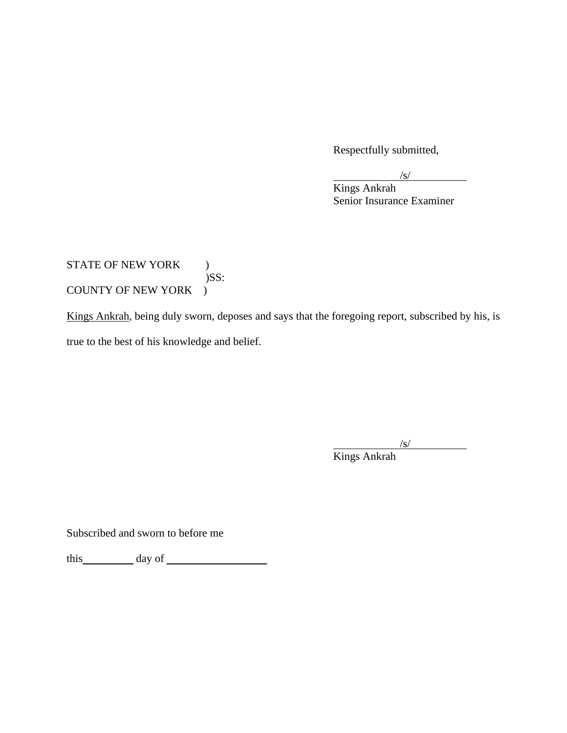Respectfully submitted,

Kings Ankrah Senior Insurance Examiner

#### STATE OF NEW YORK )  $)$ SS: COUNTY OF NEW YORK )

Kings Ankrah, being duly sworn, deposes and says that the foregoing report, subscribed by his, is true to the best of his knowledge and belief.

> $\sqrt{s}$ / Kings Ankrah

Subscribed and sworn to before me

this day of